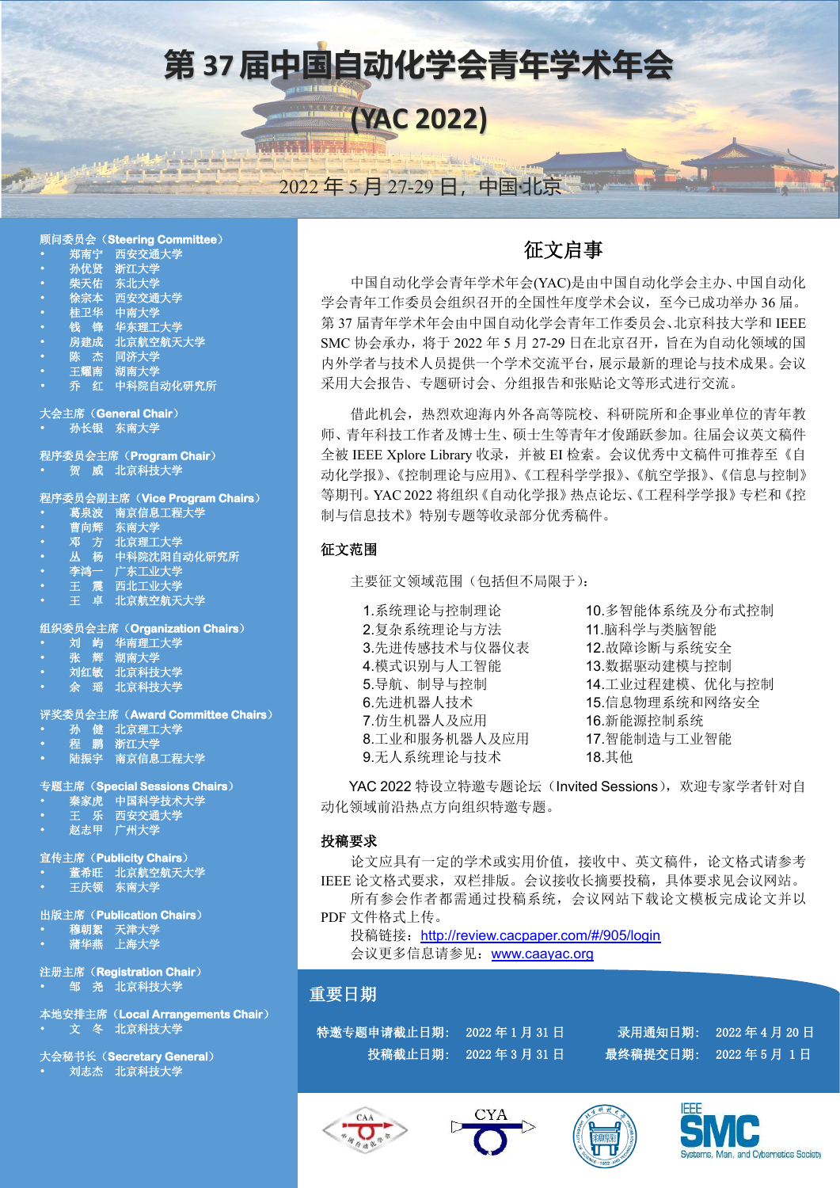

### 顾问委员会(**Steering Committee**)

- •郑南宁西安交通大学
- •孙优贤浙江大学
- •柴天佑东北大学
- •徐宗本西安交通大学
- •桂卫华中南大学
- •钱锋华东理工大学
- •房建成北京航空航天大学
- •陈杰同济大学
- •王耀南湖南大学
- •乔红中科院自动化研究所

大会主席(**General Chair**)

•孙长银东南大学

程序委员会主席(**Program Chair**) •贺威北京科技大学

### 程序委员会副主席(**Vice Program Chairs**)

- •葛泉波南京信息工程大学
- •曹向辉东南大学
- •邓方北京理工大学
- •丛杨中科院沈阳自动化研究所
- •李鸿一广东工业大学
- •王震西北工业大学
- •王卓北京航空航天大学

### 组织委员会主席(**Organization Chairs**)

- •刘屿华南理工大学
- •张辉湖南大学
- •刘红敏北京科技大学 • 来<br>• 海南大学<br>刘红敏 北京科技大学<br>余 瑶 北京科技大学
- 

### 评奖委员会主席(**Award Committee Chairs**)

- •孙健北京理工大学
- •程鹏浙江大学
- •陆振宇南京信息工程大学

### 专题主席(**Special Sessions Chairs**)

- •秦家虎中国科学技术大学
- •王乐西安交通大学
- •赵志甲广州大学

### 宣传主席(**Publicity Chairs**)

- •董希旺北京航空航天大学
- •王庆领东南大学

### 出版主席(**Publication Chairs**)

- •穆朝絮天津大学
- •蒲华燕上海大学

注册主席(**Registration Chair**) •邹尧北京科技大学

本地安排主席(**Local Arrangements Chair**) •文冬北京科技大学

大会秘书长(**Secretary General**) •刘志杰北京科技大学

## 征文启事

中国自动化学会青年学术年会(YAC)是由中国自动化学会主办、中国自动化 学会青年工作委员会组织召开的全国性年度学术会议,至今已成功举办 36 届。 第 37 届青年学术年会由中国自动化学会青年工作委员会、北京科技大学和 IEEE SMC 协会承办,将于 2022 年 5 月 27-29 日在北京召开,旨在为自动化领域的国 内外学者与技术人员提供一个学术交流平台,展示最新的理论与技术成果。会议 采用大会报告、专题研讨会、分组报告和张贴论文等形式进行交流。

借此机会,热烈欢迎海内外各高等院校、科研院所和企事业单位的青年教 师、青年科技工作者及博士生、硕士生等青年才俊踊跃参加。往届会议英文稿件 全被 IEEE Xplore Library 收录,并被 EI 检索。会议优秀中文稿件可推荐至《自 动化学报》、《控制理论与应用》、《工程科学学报》、《航空学报》、《信息与控制》 等期刊。YAC 2022 将组织《自动化学报》热点论坛、《工程科学学报》专栏和《控 制与信息技术》特别专题等收录部分优秀稿件。

## 征文范围

主要征文领域范围(包括但不局限于):

1.系统理论与控制理论 10.多智能体系统及分布式控制 2.复杂系统理论与方法 11.脑科学与类脑智能 3.先进传感技术与仪器仪表 12.故障诊断与系统安全 4.模式识别与人工智能 13.数据驱动建模与控制 6.先进机器人技术 15.信息物理系统和网络安全 7.仿生机器人及应用 16.新能源控制系统 8.工业和服务机器人及应用 9.无人系统理论与技术

5.导航、制导与控制 14.工业过程建模、优化与控制 17.智能制造与工业智能 18.其他

YAC 2022 特设立特邀专题论坛(Invited Sessions), 欢迎专家学者针对自 动化领域前沿热点方向组织特邀专题。

## 投稿要求

论文应具有一定的学术或实用价值,接收中、英文稿件,论文格式请参考 IEEE 论文格式要求,双栏排版。会议接收长摘要投稿,具体要求见会议网站。 所有参会作者都需通过投稿系统,会议网站下载论文模板完成论文并以

PDF 文件格式上传。

投稿链接: [h](http://review.cacpaper.com/#/905/login)[ttp://review.cacpaper.com/#/905/login](http://review.cacpaper.com/#/905/login) 会议更多信息请参见:[www.caayac.org](http://www.caayac.org/)

## 重要日期

特邀专题申请截止日期: 2022年1月31日 录用通知日期: 2022年4月20日 投稿截止日期: 2022 年 3 月 31 日 最终稿提交日期: 2022 年 5 月 1 日